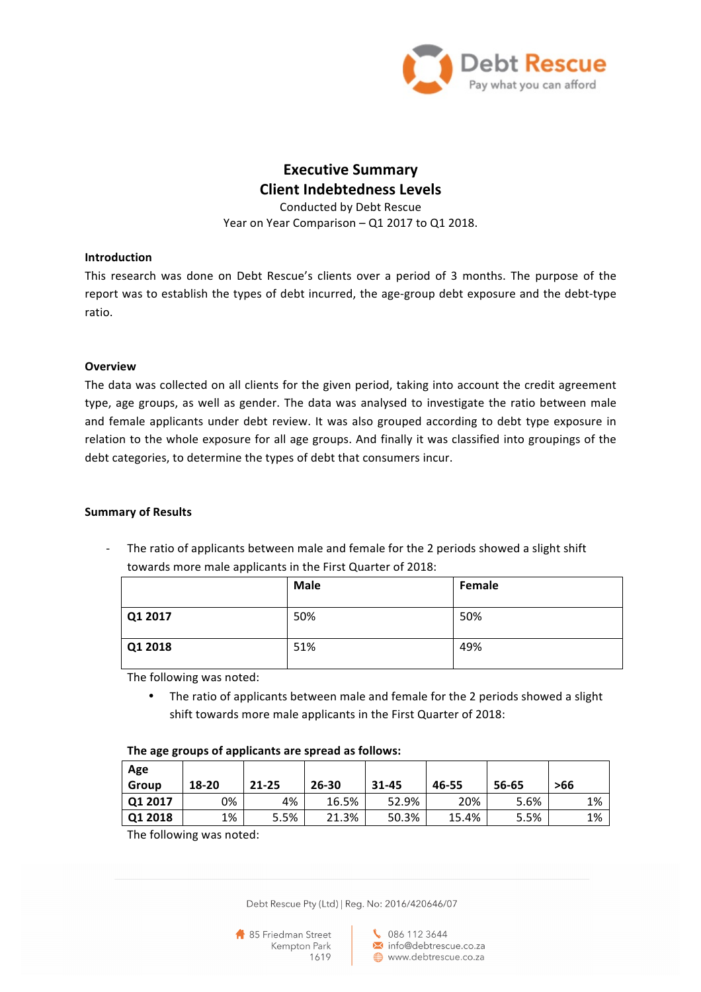

# **Executive Summary Client Indebtedness Levels**

Conducted by Debt Rescue Year on Year Comparison - Q1 2017 to Q1 2018.

### **Introduction**

This research was done on Debt Rescue's clients over a period of 3 months. The purpose of the report was to establish the types of debt incurred, the age-group debt exposure and the debt-type ratio.

### **Overview**

The data was collected on all clients for the given period, taking into account the credit agreement type, age groups, as well as gender. The data was analysed to investigate the ratio between male and female applicants under debt review. It was also grouped according to debt type exposure in relation to the whole exposure for all age groups. And finally it was classified into groupings of the debt categories, to determine the types of debt that consumers incur.

### **Summary of Results**

The ratio of applicants between male and female for the 2 periods showed a slight shift towards more male applicants in the First Quarter of 2018:

|         | <b>Male</b> | Female |
|---------|-------------|--------|
| Q1 2017 | 50%         | 50%    |
| Q1 2018 | 51%         | 49%    |

The following was noted:

• The ratio of applicants between male and female for the 2 periods showed a slight shift towards more male applicants in the First Quarter of 2018:

| ິ            |       |           |       |           |       |       |     |
|--------------|-------|-----------|-------|-----------|-------|-------|-----|
| Age<br>Group | 18-20 | $21 - 25$ | 26-30 | $31 - 45$ | 46-55 | 56-65 | >66 |
| Q12017       | 0%    | 4%        | 16.5% | 52.9%     | 20%   | 5.6%  | 1%  |
| Q12018       | 1%    | 5.5%      | 21.3% | 50.3%     | 15.4% | 5.5%  | 1%  |

The age groups of applicants are spread as follows:

The following was noted:

Debt Rescue Pty (Ltd) | Reg. No: 2016/420646/07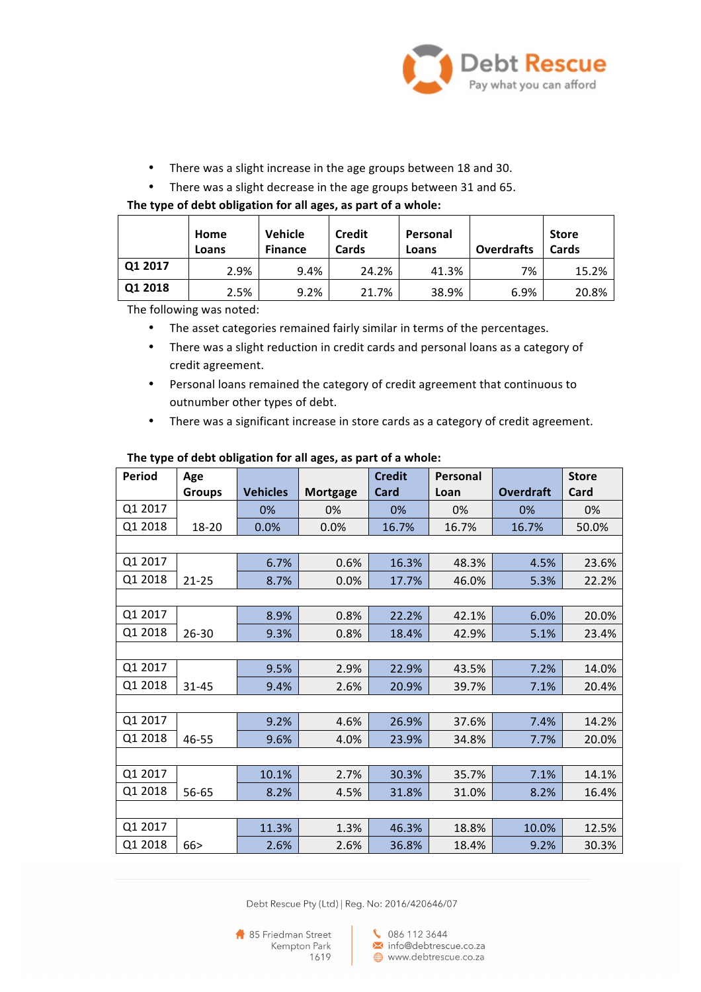

- There was a slight increase in the age groups between 18 and 30.
- There was a slight decrease in the age groups between 31 and 65.

#### The type of debt obligation for all ages, as part of a whole:

|         | Home<br>Loans | <b>Vehicle</b><br><b>Finance</b> | <b>Credit</b><br>Cards | Personal<br>Loans | <b>Overdrafts</b> | <b>Store</b><br>Cards |
|---------|---------------|----------------------------------|------------------------|-------------------|-------------------|-----------------------|
| Q1 2017 | 2.9%          | 9.4%                             | 24.2%                  | 41.3%             | 7%                | 15.2%                 |
| Q1 2018 | 2.5%          | 9.2%                             | 21.7%                  | 38.9%             | 6.9%              | 20.8%                 |

The following was noted:

- The asset categories remained fairly similar in terms of the percentages.
- There was a slight reduction in credit cards and personal loans as a category of credit agreement.
- Personal loans remained the category of credit agreement that continuous to outnumber other types of debt.
- There was a significant increase in store cards as a category of credit agreement.

| <b>Period</b> | Age           |                 |                 | <b>Credit</b> | <b>Personal</b> |                  | <b>Store</b> |  |
|---------------|---------------|-----------------|-----------------|---------------|-----------------|------------------|--------------|--|
|               | <b>Groups</b> | <b>Vehicles</b> | <b>Mortgage</b> | Card          | Loan            | <b>Overdraft</b> | Card         |  |
| Q1 2017       |               | 0%              | 0%              | 0%            | 0%              | 0%               | 0%           |  |
| Q1 2018       | 18-20         | 0.0%            | 0.0%            | 16.7%         | 16.7%           | 16.7%            | 50.0%        |  |
|               |               |                 |                 |               |                 |                  |              |  |
| Q1 2017       |               | 6.7%            | 0.6%            | 16.3%         | 48.3%           | 4.5%             | 23.6%        |  |
| Q1 2018       | $21 - 25$     | 8.7%            | 0.0%            | 17.7%         | 46.0%           | 5.3%             | 22.2%        |  |
|               |               |                 |                 |               |                 |                  |              |  |
| Q1 2017       |               | 8.9%            | 0.8%            | 22.2%         | 42.1%           | 6.0%             | 20.0%        |  |
| Q1 2018       | 26-30         | 9.3%            | 0.8%            | 18.4%         | 42.9%           | 5.1%             | 23.4%        |  |
|               |               |                 |                 |               |                 |                  |              |  |
| Q1 2017       |               | 9.5%            | 2.9%            | 22.9%         | 43.5%           | 7.2%             | 14.0%        |  |
| Q1 2018       | $31 - 45$     | 9.4%            | 2.6%            | 20.9%         | 39.7%           | 7.1%             | 20.4%        |  |
|               |               |                 |                 |               |                 |                  |              |  |
| Q1 2017       |               | 9.2%            | 4.6%            | 26.9%         | 37.6%           | 7.4%             | 14.2%        |  |
| Q1 2018       | 46-55         | 9.6%            | 4.0%            | 23.9%         | 34.8%           | 7.7%             | 20.0%        |  |
|               |               |                 |                 |               |                 |                  |              |  |
| Q1 2017       |               | 10.1%           | 2.7%            | 30.3%         | 35.7%           | 7.1%             | 14.1%        |  |
| Q1 2018       | 56-65         | 8.2%            | 4.5%            | 31.8%         | 31.0%           | 8.2%             | 16.4%        |  |
|               |               |                 |                 |               |                 |                  |              |  |
| Q1 2017       |               | 11.3%           | 1.3%            | 46.3%         | 18.8%           | 10.0%            | 12.5%        |  |
| Q1 2018       | 66 >          | 2.6%            | 2.6%            | 36.8%         | 18.4%           | 9.2%             | 30.3%        |  |

## The type of debt obligation for all ages, as part of a whole:

Debt Rescue Pty (Ltd) | Reg. No: 2016/420646/07